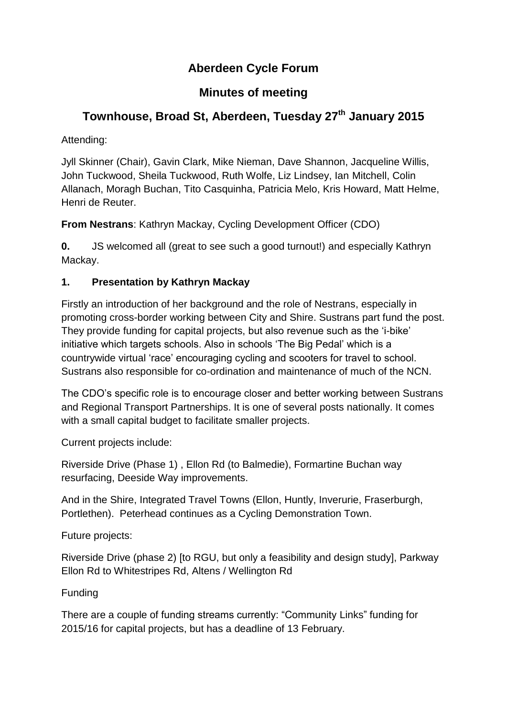# **Aberdeen Cycle Forum**

## **Minutes of meeting**

# **Townhouse, Broad St, Aberdeen, Tuesday 27 th January 2015**

Attending:

Jyll Skinner (Chair), Gavin Clark, Mike Nieman, Dave Shannon, Jacqueline Willis, John Tuckwood, Sheila Tuckwood, Ruth Wolfe, Liz Lindsey, Ian Mitchell, Colin Allanach, Moragh Buchan, Tito Casquinha, Patricia Melo, Kris Howard, Matt Helme, Henri de Reuter.

**From Nestrans**: Kathryn Mackay, Cycling Development Officer (CDO)

**0.** JS welcomed all (great to see such a good turnout!) and especially Kathryn Mackay.

## **1. Presentation by Kathryn Mackay**

Firstly an introduction of her background and the role of Nestrans, especially in promoting cross-border working between City and Shire. Sustrans part fund the post. They provide funding for capital projects, but also revenue such as the 'i-bike' initiative which targets schools. Also in schools 'The Big Pedal' which is a countrywide virtual 'race' encouraging cycling and scooters for travel to school. Sustrans also responsible for co-ordination and maintenance of much of the NCN.

The CDO's specific role is to encourage closer and better working between Sustrans and Regional Transport Partnerships. It is one of several posts nationally. It comes with a small capital budget to facilitate smaller projects.

Current projects include:

Riverside Drive (Phase 1) , Ellon Rd (to Balmedie), Formartine Buchan way resurfacing, Deeside Way improvements.

And in the Shire, Integrated Travel Towns (Ellon, Huntly, Inverurie, Fraserburgh, Portlethen). Peterhead continues as a Cycling Demonstration Town.

Future projects:

Riverside Drive (phase 2) [to RGU, but only a feasibility and design study], Parkway Ellon Rd to Whitestripes Rd, Altens / Wellington Rd

## Funding

There are a couple of funding streams currently: "Community Links" funding for 2015/16 for capital projects, but has a deadline of 13 February.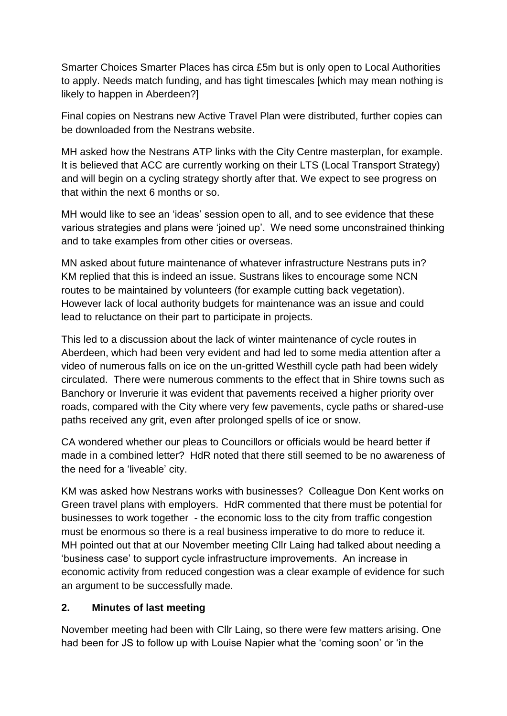Smarter Choices Smarter Places has circa £5m but is only open to Local Authorities to apply. Needs match funding, and has tight timescales [which may mean nothing is likely to happen in Aberdeen?]

Final copies on Nestrans new Active Travel Plan were distributed, further copies can be downloaded from the Nestrans website.

MH asked how the Nestrans ATP links with the City Centre masterplan, for example. It is believed that ACC are currently working on their LTS (Local Transport Strategy) and will begin on a cycling strategy shortly after that. We expect to see progress on that within the next 6 months or so.

MH would like to see an 'ideas' session open to all, and to see evidence that these various strategies and plans were 'joined up'. We need some unconstrained thinking and to take examples from other cities or overseas.

MN asked about future maintenance of whatever infrastructure Nestrans puts in? KM replied that this is indeed an issue. Sustrans likes to encourage some NCN routes to be maintained by volunteers (for example cutting back vegetation). However lack of local authority budgets for maintenance was an issue and could lead to reluctance on their part to participate in projects.

This led to a discussion about the lack of winter maintenance of cycle routes in Aberdeen, which had been very evident and had led to some media attention after a video of numerous falls on ice on the un-gritted Westhill cycle path had been widely circulated. There were numerous comments to the effect that in Shire towns such as Banchory or Inverurie it was evident that pavements received a higher priority over roads, compared with the City where very few pavements, cycle paths or shared-use paths received any grit, even after prolonged spells of ice or snow.

CA wondered whether our pleas to Councillors or officials would be heard better if made in a combined letter? HdR noted that there still seemed to be no awareness of the need for a 'liveable' city.

KM was asked how Nestrans works with businesses? Colleague Don Kent works on Green travel plans with employers. HdR commented that there must be potential for businesses to work together - the economic loss to the city from traffic congestion must be enormous so there is a real business imperative to do more to reduce it. MH pointed out that at our November meeting Cllr Laing had talked about needing a 'business case' to support cycle infrastructure improvements. An increase in economic activity from reduced congestion was a clear example of evidence for such an argument to be successfully made.

#### **2. Minutes of last meeting**

November meeting had been with Cllr Laing, so there were few matters arising. One had been for JS to follow up with Louise Napier what the 'coming soon' or 'in the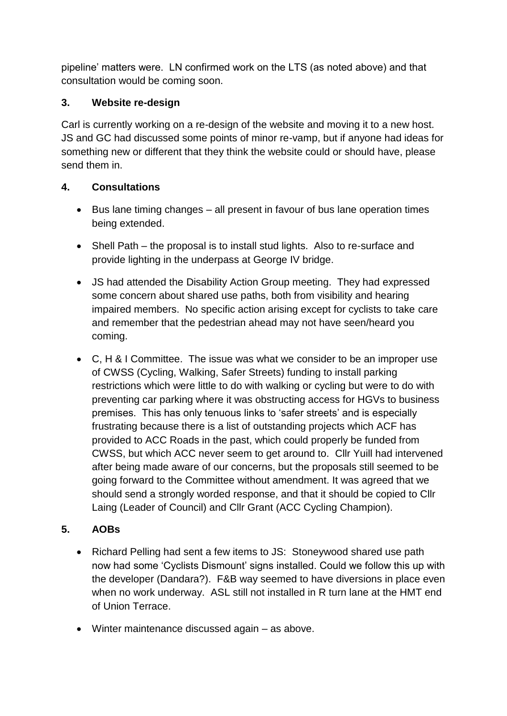pipeline' matters were. LN confirmed work on the LTS (as noted above) and that consultation would be coming soon.

#### **3. Website re-design**

Carl is currently working on a re-design of the website and moving it to a new host. JS and GC had discussed some points of minor re-vamp, but if anyone had ideas for something new or different that they think the website could or should have, please send them in.

#### **4. Consultations**

- Bus lane timing changes all present in favour of bus lane operation times being extended.
- Shell Path the proposal is to install stud lights. Also to re-surface and provide lighting in the underpass at George IV bridge.
- JS had attended the Disability Action Group meeting. They had expressed some concern about shared use paths, both from visibility and hearing impaired members. No specific action arising except for cyclists to take care and remember that the pedestrian ahead may not have seen/heard you coming.
- C, H & I Committee. The issue was what we consider to be an improper use of CWSS (Cycling, Walking, Safer Streets) funding to install parking restrictions which were little to do with walking or cycling but were to do with preventing car parking where it was obstructing access for HGVs to business premises. This has only tenuous links to 'safer streets' and is especially frustrating because there is a list of outstanding projects which ACF has provided to ACC Roads in the past, which could properly be funded from CWSS, but which ACC never seem to get around to. Cllr Yuill had intervened after being made aware of our concerns, but the proposals still seemed to be going forward to the Committee without amendment. It was agreed that we should send a strongly worded response, and that it should be copied to Cllr Laing (Leader of Council) and Cllr Grant (ACC Cycling Champion).

#### **5. AOBs**

- Richard Pelling had sent a few items to JS: Stoneywood shared use path now had some 'Cyclists Dismount' signs installed. Could we follow this up with the developer (Dandara?). F&B way seemed to have diversions in place even when no work underway. ASL still not installed in R turn lane at the HMT end of Union Terrace.
- Winter maintenance discussed again as above.